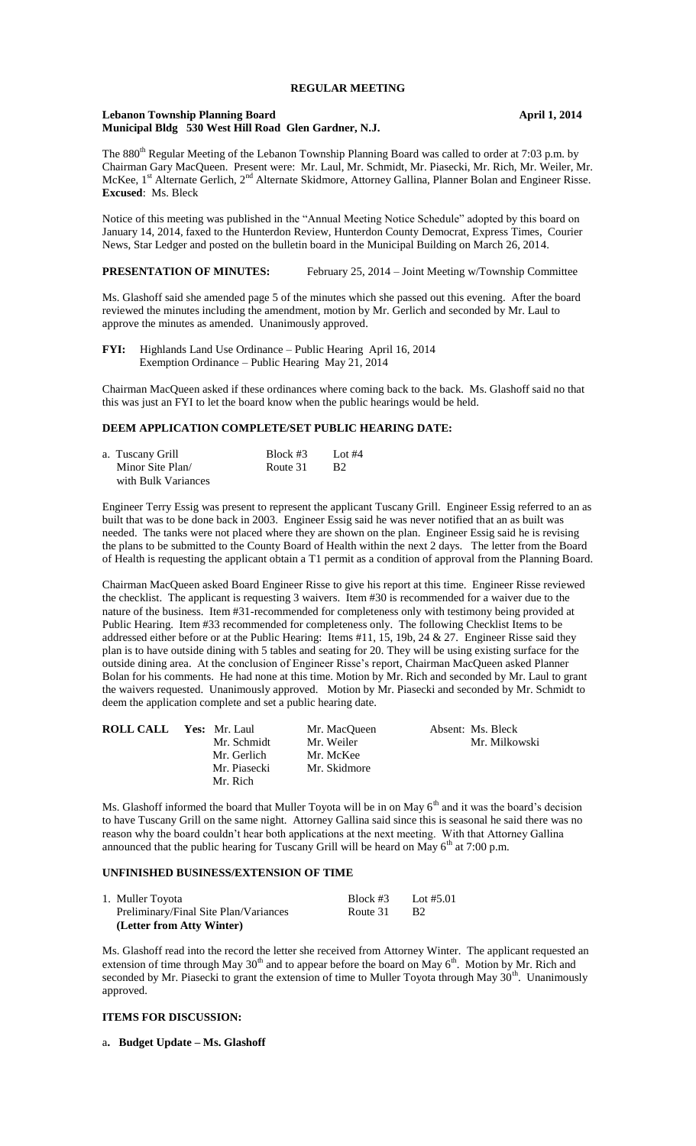### **REGULAR MEETING**

#### **Lebanon Township Planning Board April 1, 2014 Municipal Bldg 530 West Hill Road Glen Gardner, N.J.**

The 880<sup>th</sup> Regular Meeting of the Lebanon Township Planning Board was called to order at 7:03 p.m. by Chairman Gary MacQueen. Present were: Mr. Laul, Mr. Schmidt, Mr. Piasecki, Mr. Rich, Mr. Weiler, Mr. McKee, 1<sup>st</sup> Alternate Gerlich, 2<sup>nd</sup> Alternate Skidmore, Attorney Gallina, Planner Bolan and Engineer Risse. **Excused**: Ms. Bleck

Notice of this meeting was published in the "Annual Meeting Notice Schedule" adopted by this board on January 14, 2014, faxed to the Hunterdon Review, Hunterdon County Democrat, Express Times, Courier News, Star Ledger and posted on the bulletin board in the Municipal Building on March 26, 2014.

## **PRESENTATION OF MINUTES:** February 25, 2014 – Joint Meeting w/Township Committee

Ms. Glashoff said she amended page 5 of the minutes which she passed out this evening. After the board reviewed the minutes including the amendment, motion by Mr. Gerlich and seconded by Mr. Laul to approve the minutes as amended. Unanimously approved.

**FYI:** Highlands Land Use Ordinance – Public Hearing April 16, 2014 Exemption Ordinance – Public Hearing May 21, 2014

Chairman MacQueen asked if these ordinances where coming back to the back. Ms. Glashoff said no that this was just an FYI to let the board know when the public hearings would be held.

# **DEEM APPLICATION COMPLETE/SET PUBLIC HEARING DATE:**

| a.  Tuscany Grill |                     | Block $#3$ | Lot #4         |
|-------------------|---------------------|------------|----------------|
|                   | Minor Site Plan/    | Route 31   | B <sub>2</sub> |
|                   | with Bulk Variances |            |                |

Engineer Terry Essig was present to represent the applicant Tuscany Grill. Engineer Essig referred to an as built that was to be done back in 2003. Engineer Essig said he was never notified that an as built was needed. The tanks were not placed where they are shown on the plan. Engineer Essig said he is revising the plans to be submitted to the County Board of Health within the next 2 days. The letter from the Board of Health is requesting the applicant obtain a T1 permit as a condition of approval from the Planning Board.

Chairman MacQueen asked Board Engineer Risse to give his report at this time. Engineer Risse reviewed the checklist. The applicant is requesting 3 waivers. Item #30 is recommended for a waiver due to the nature of the business. Item #31-recommended for completeness only with testimony being provided at Public Hearing. Item #33 recommended for completeness only. The following Checklist Items to be addressed either before or at the Public Hearing: Items #11, 15, 19b, 24 & 27. Engineer Risse said they plan is to have outside dining with 5 tables and seating for 20. They will be using existing surface for the outside dining area. At the conclusion of Engineer Risse's report, Chairman MacQueen asked Planner Bolan for his comments. He had none at this time. Motion by Mr. Rich and seconded by Mr. Laul to grant the waivers requested. Unanimously approved. Motion by Mr. Piasecki and seconded by Mr. Schmidt to deem the application complete and set a public hearing date.

| <b>ROLL CALL Yes: Mr. Laul</b> | Mr. MacOueen | Absent: Ms. Bleck |
|--------------------------------|--------------|-------------------|
| Mr. Schmidt                    | Mr. Weiler   | Mr. Milkowski     |
| Mr. Gerlich                    | Mr. McKee    |                   |
| Mr. Piasecki                   | Mr. Skidmore |                   |
| Mr. Rich                       |              |                   |

Ms. Glashoff informed the board that Muller Toyota will be in on May  $6<sup>th</sup>$  and it was the board's decision to have Tuscany Grill on the same night. Attorney Gallina said since this is seasonal he said there was no reason why the board couldn't hear both applications at the next meeting. With that Attorney Gallina announced that the public hearing for Tuscany Grill will be heard on May  $6<sup>th</sup>$  at 7:00 p.m.

# **UNFINISHED BUSINESS/EXTENSION OF TIME**

| 1. Muller Toyota                      | Block $#3$ | Lot #5.01 |
|---------------------------------------|------------|-----------|
| Preliminary/Final Site Plan/Variances | Route 31   | - B2      |
| (Letter from Atty Winter)             |            |           |

Ms. Glashoff read into the record the letter she received from Attorney Winter. The applicant requested an extension of time through May 30<sup>th</sup> and to appear before the board on May 6<sup>th</sup>. Motion by Mr. Rich and seconded by Mr. Piasecki to grant the extension of time to Muller Toyota through May  $30<sup>th</sup>$ . Unanimously approved.

# **ITEMS FOR DISCUSSION:**

a**. Budget Update – Ms. Glashoff**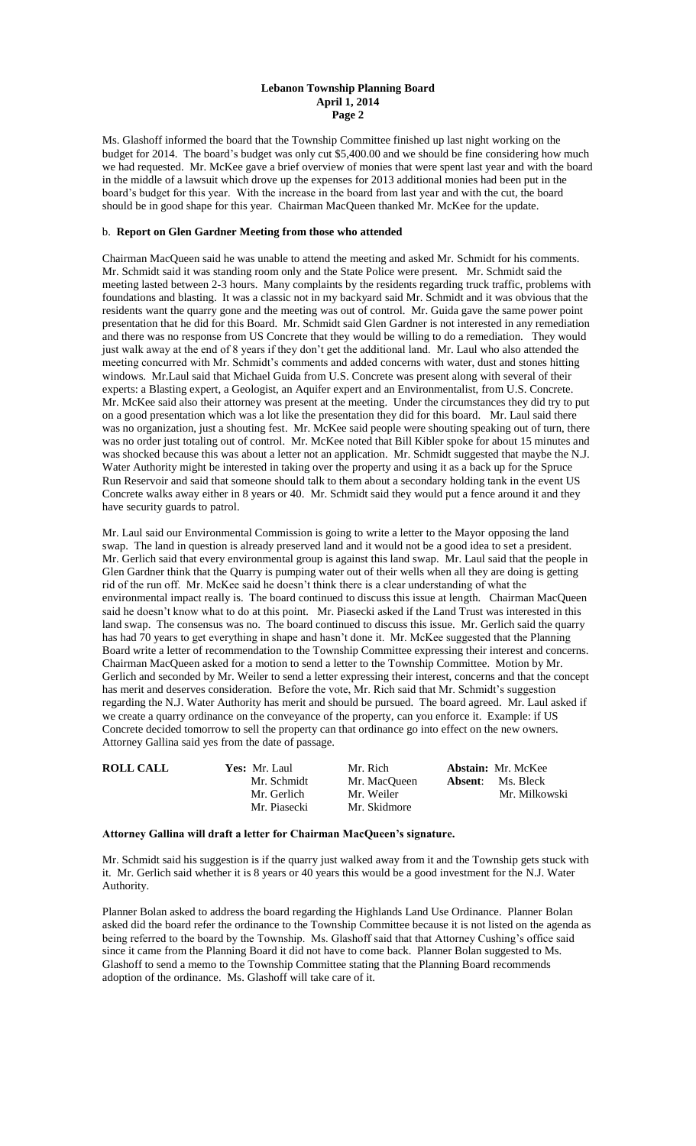### **Lebanon Township Planning Board April 1, 2014 Page 2**

Ms. Glashoff informed the board that the Township Committee finished up last night working on the budget for 2014. The board's budget was only cut \$5,400.00 and we should be fine considering how much we had requested. Mr. McKee gave a brief overview of monies that were spent last year and with the board in the middle of a lawsuit which drove up the expenses for 2013 additional monies had been put in the board's budget for this year. With the increase in the board from last year and with the cut, the board should be in good shape for this year. Chairman MacQueen thanked Mr. McKee for the update.

## b. **Report on Glen Gardner Meeting from those who attended**

Chairman MacQueen said he was unable to attend the meeting and asked Mr. Schmidt for his comments. Mr. Schmidt said it was standing room only and the State Police were present. Mr. Schmidt said the meeting lasted between 2-3 hours. Many complaints by the residents regarding truck traffic, problems with foundations and blasting. It was a classic not in my backyard said Mr. Schmidt and it was obvious that the residents want the quarry gone and the meeting was out of control. Mr. Guida gave the same power point presentation that he did for this Board. Mr. Schmidt said Glen Gardner is not interested in any remediation and there was no response from US Concrete that they would be willing to do a remediation. They would just walk away at the end of 8 years if they don't get the additional land. Mr. Laul who also attended the meeting concurred with Mr. Schmidt's comments and added concerns with water, dust and stones hitting windows. Mr.Laul said that Michael Guida from U.S. Concrete was present along with several of their experts: a Blasting expert, a Geologist, an Aquifer expert and an Environmentalist, from U.S. Concrete. Mr. McKee said also their attorney was present at the meeting. Under the circumstances they did try to put on a good presentation which was a lot like the presentation they did for this board. Mr. Laul said there was no organization, just a shouting fest. Mr. McKee said people were shouting speaking out of turn, there was no order just totaling out of control. Mr. McKee noted that Bill Kibler spoke for about 15 minutes and was shocked because this was about a letter not an application. Mr. Schmidt suggested that maybe the N.J. Water Authority might be interested in taking over the property and using it as a back up for the Spruce Run Reservoir and said that someone should talk to them about a secondary holding tank in the event US Concrete walks away either in 8 years or 40. Mr. Schmidt said they would put a fence around it and they have security guards to patrol.

Mr. Laul said our Environmental Commission is going to write a letter to the Mayor opposing the land swap. The land in question is already preserved land and it would not be a good idea to set a president. Mr. Gerlich said that every environmental group is against this land swap. Mr. Laul said that the people in Glen Gardner think that the Quarry is pumping water out of their wells when all they are doing is getting rid of the run off. Mr. McKee said he doesn't think there is a clear understanding of what the environmental impact really is. The board continued to discuss this issue at length. Chairman MacQueen said he doesn't know what to do at this point. Mr. Piasecki asked if the Land Trust was interested in this land swap. The consensus was no. The board continued to discuss this issue. Mr. Gerlich said the quarry has had 70 years to get everything in shape and hasn't done it. Mr. McKee suggested that the Planning Board write a letter of recommendation to the Township Committee expressing their interest and concerns. Chairman MacQueen asked for a motion to send a letter to the Township Committee. Motion by Mr. Gerlich and seconded by Mr. Weiler to send a letter expressing their interest, concerns and that the concept has merit and deserves consideration. Before the vote, Mr. Rich said that Mr. Schmidt's suggestion regarding the N.J. Water Authority has merit and should be pursued. The board agreed. Mr. Laul asked if we create a quarry ordinance on the conveyance of the property, can you enforce it. Example: if US Concrete decided tomorrow to sell the property can that ordinance go into effect on the new owners. Attorney Gallina said yes from the date of passage.

| <b>ROLL CALL</b> | Yes: Mr. Laul | Mr. Rich     |         | <b>Abstain:</b> Mr. McKee |
|------------------|---------------|--------------|---------|---------------------------|
|                  | Mr. Schmidt   | Mr. MacOueen | Absent: | Ms. Bleck                 |
|                  | Mr. Gerlich   | Mr. Weiler   |         | Mr. Milkowski             |
|                  | Mr. Piasecki  | Mr. Skidmore |         |                           |

### **Attorney Gallina will draft a letter for Chairman MacQueen's signature.**

Mr. Schmidt said his suggestion is if the quarry just walked away from it and the Township gets stuck with it. Mr. Gerlich said whether it is 8 years or 40 years this would be a good investment for the N.J. Water Authority.

Planner Bolan asked to address the board regarding the Highlands Land Use Ordinance. Planner Bolan asked did the board refer the ordinance to the Township Committee because it is not listed on the agenda as being referred to the board by the Township. Ms. Glashoff said that that Attorney Cushing's office said since it came from the Planning Board it did not have to come back. Planner Bolan suggested to Ms. Glashoff to send a memo to the Township Committee stating that the Planning Board recommends adoption of the ordinance. Ms. Glashoff will take care of it.